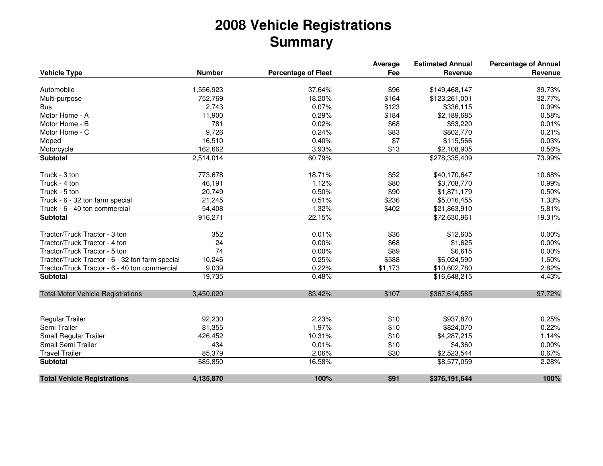## **2008 Vehicle RegistrationsSummary**

|                                                 |               |                            | Average | <b>Estimated Annual</b> | <b>Percentage of Annual</b> |
|-------------------------------------------------|---------------|----------------------------|---------|-------------------------|-----------------------------|
| <b>Vehicle Type</b>                             | <b>Number</b> | <b>Percentage of Fleet</b> | Fee     | Revenue                 | Revenue                     |
|                                                 |               |                            |         |                         |                             |
| Automobile                                      | 1,556,923     | 37.64%                     | \$96    | \$149,468,147           | 39.73%                      |
| Multi-purpose                                   | 752,769       | 18.20%                     | \$164   | \$123,261,001           | 32.77%                      |
| <b>Bus</b>                                      | 2,743         | 0.07%                      | \$123   | \$336,115               | 0.09%                       |
| Motor Home - A                                  | 11,900        | 0.29%                      | \$184   | \$2,189,685             | 0.58%                       |
| Motor Home - B                                  | 781           | 0.02%                      | \$68    | \$53,220                | 0.01%                       |
| Motor Home - C                                  | 9,726         | 0.24%                      | \$83    | \$802,770               | 0.21%                       |
| Moped                                           | 16,510        | 0.40%                      | \$7     | \$115,566               | 0.03%                       |
| Motorcycle                                      | 162,662       | 3.93%                      | \$13    | \$2,108,905             | 0.56%                       |
| <b>Subtotal</b>                                 | 2,514,014     | 60.79%                     |         | \$278,335,409           | 73.99%                      |
| Truck - 3 ton                                   | 773,678       | 18.71%                     | \$52    | \$40,170,647            | 10.68%                      |
| Truck - 4 ton                                   | 46,191        | 1.12%                      | \$80    | \$3,708,770             | 0.99%                       |
| Truck - 5 ton                                   | 20,749        | 0.50%                      | \$90    | \$1,871,179             | 0.50%                       |
| Truck - 6 - 32 ton farm special                 | 21,245        | 0.51%                      | \$236   | \$5,016,455             | 1.33%                       |
| Truck - 6 - 40 ton commercial                   | 54,408        | 1.32%                      | \$402   | \$21,863,910            | 5.81%                       |
| <b>Subtotal</b>                                 | 916,271       | 22.15%                     |         | \$72,630,961            | 19.31%                      |
| Tractor/Truck Tractor - 3 ton                   | 352           | 0.01%                      | \$36    | \$12,605                | 0.00%                       |
| Tractor/Truck Tractor - 4 ton                   | 24            | 0.00%                      | \$68    | \$1,625                 | 0.00%                       |
| Tractor/Truck Tractor - 5 ton                   | 74            | 0.00%                      | \$89    | \$6,615                 | 0.00%                       |
| Tractor/Truck Tractor - 6 - 32 ton farm special | 10,246        | 0.25%                      | \$588   | \$6,024,590             | 1.60%                       |
| Tractor/Truck Tractor - 6 - 40 ton commercial   | 9,039         | 0.22%                      | \$1,173 | \$10,602,780            | 2.82%                       |
| <b>Subtotal</b>                                 | 19,735        | 0.48%                      |         | \$16,648,215            | 4.43%                       |
| <b>Total Motor Vehicle Registrations</b>        | 3,450,020     | 83.42%                     | \$107   | \$367,614,585           | 97.72%                      |
|                                                 |               |                            |         |                         |                             |
| <b>Regular Trailer</b>                          | 92,230        | 2.23%                      | \$10    | \$937,870               | 0.25%                       |
| Semi Trailer                                    | 81,355        | 1.97%                      | \$10    | \$824,070               | 0.22%                       |
| Small Regular Trailer                           | 426,452       | 10.31%                     | \$10    | \$4,287,215             | 1.14%                       |
| Small Semi Trailer                              | 434           | 0.01%                      | \$10    | \$4,360                 | 0.00%                       |
| <b>Travel Trailer</b>                           | 85,379        | 2.06%                      | \$30    | \$2,523,544             | 0.67%                       |
| <b>Subtotal</b>                                 | 685,850       | 16.58%                     |         | $\overline{$8,577,059}$ | 2.28%                       |
| <b>Total Vehicle Registrations</b>              | 4,135,870     | 100%                       | \$91    | \$376,191,644           | 100%                        |
|                                                 |               |                            |         |                         |                             |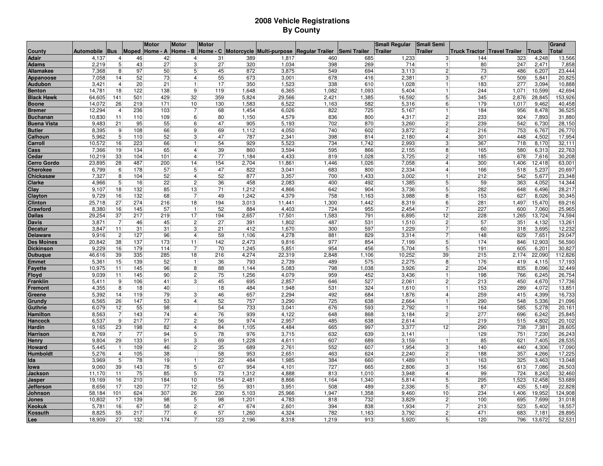## **2008 Vehicle RegistrationsBy County**

|                          |                |                 |            | <b>Motor</b> | <b>Motor</b>    | <b>Motor</b> |            |                                   |                        |              | <b>Small Regular</b> | <b>Small Semi</b>              |                                       |            |                | Grand            |
|--------------------------|----------------|-----------------|------------|--------------|-----------------|--------------|------------|-----------------------------------|------------------------|--------------|----------------------|--------------------------------|---------------------------------------|------------|----------------|------------------|
| <b>County</b>            | Automobile Bus |                 | Moped      | Home - A     | Home - B        |              |            | Home - C Motorcycle Multi-purpose | <b>Regular Trailer</b> | Semi Trailer | <b>Trailer</b>       | <b>Trailer</b>                 | <b>Truck Tractor   Travel Trailer</b> |            | <b>Truck</b>   | <b>Total</b>     |
| <b>Adair</b>             | 4,137          | $\vert$         | 46         | 42           | 4               | 31           | 389        | 1.817                             | 460                    | 685          | 1,233                | 3                              | 144                                   | 323        | 4.248          | 13,566           |
| <b>Adams</b>             | 2,219          | 5 <sup>5</sup>  | 43         | 27           | 3               | 27           | 320        | 1,034                             | 398                    | 269          | 714                  | 1                              | 80                                    | 247        | 2,471          | 7,858            |
| Allamakee                | 7,368          | 8               | 97         | 50           | 5 <sup>2</sup>  | 45           | 872        | 3,875                             | 549                    | 694          | 3,113                | $\mathbf{2}$                   | 73                                    | 486        | 6,207          | 23,444           |
| Appanoose                | 7,058          | 14              | 52         | 73           | 4               | 55           | 673        | 3,001                             | 678                    | 416          | 2,381                | 3                              | 67                                    | 509        | 5,841          | 20,825           |
| <b>Audubon</b>           | 3,421          | $\overline{4}$  | 20         | 21           | 1               | 17           | 350        | 1,523                             | 338                    | 610          | 1,028                | $\vert$ 1                      | 183                                   | 277        | 3,094          | 10,888           |
| <b>Benton</b>            | 14,781         | 18              | 122        | 138          | 9               | 119          | 1,648      | 6,365                             | 1,082                  | 1,093        | 5,404                | 1                              | 244                                   | 1,071      | 10,599         | 42,694           |
| <b>Black Hawk</b>        | 64,605         | 141             | 501        | 429          | 32              | 359          | 5,824      | 29,566                            | 2,421                  | 1,385        | 16,592               | 5 <sup>1</sup>                 | 345                                   | 2,876      | 28,845         | 153,926          |
| <b>Boone</b>             | 14,072         | 26              | 219        | 171          | 10 <sup>1</sup> | 130          | 1,583      | 6,522                             | 1,163                  | 582          | 5,316                | 6                              | 179                                   | 1,017      | 9,462          | 40,458           |
| <b>Bremer</b>            | 12,294         | $\overline{4}$  | 236        | 103          | 7               | 68           | 1,454      | 6,026                             | 822                    | 725          | 5,167                | $\mathbf{1}$                   | 184                                   | 956        | 8,478          | 36,525           |
| Buchanan                 | 10,830         | $\overline{11}$ | 110        | 109          | 6               | 80           | 1,150      | 4,579                             | 836                    | 800          | 4,317                | $\overline{2}$                 | 233                                   | 924        | 7,893          | 31,880           |
| <b>Buena Vista</b>       | 9,483          | 21              | 95         | 55           | 6               | 47           | 905        | 5,193                             | 702                    | 870          | 3,260                | $\overline{2}$                 | 239                                   | 542        | 6,730          | 28,150           |
| <b>Butler</b>            | 8,395          | 9               | 108        | 66           | 9               | 69           | 1,112      | 4,050                             | 740                    | 602          | 3,872                | $\overline{c}$                 | 216                                   | 753        | 6,767          | 26,770           |
| Calhoun                  | 5,962          | 5               | 110        | 52           | 3               | 47           | 787        | 2,341                             | 398                    | 814          | 2,180                | $\overline{4}$                 | 301                                   | 448        | 4,502          | 17,954           |
| Carroll                  | 10,572         | 16              | 223        | 66           | 1               | 54           | 929        | 5,523                             | 734                    | 1,742        | 2,993                | 3                              | 367                                   | 718        | 8,170          | 32,11'           |
| Cass                     | 7,366          | 19              | 134        | 65           | 41              | 39           | 860        | 3,594                             | 595                    | 866          | 2,155                | 8                              | 165                                   | 580        | 6,313          | 22,763           |
| Cedar                    | 10,219         | 33              | 104        | 101          | $\vert 4 \vert$ | 77           | 1,184      | 4,433                             | 819                    | 1,028        | 3,725                | $\mathbf{2}$                   | 185                                   | 678        | 7,616          | 30,208           |
| <b>Cerro Gordo</b>       | 23,895         | 28              | 487        | 200          | 14              | 154          | 2,704      | 11,861                            | 1,446                  | 1,026        | 7,058                | $\overline{4}$                 | 300                                   | 1,406      | 12,418         | 63,001           |
| <b>Cherokee</b>          | 6,799          | 6               | 178        | 57           | 5 <sup>1</sup>  | 47           | 822        | 3,041                             | 683                    | 800          | 2,334                |                                | 166                                   | 518        | 5,237          | 20,697           |
| Chickasaw                | 7,327          | 8               | 104        | 52           | $\overline{4}$  | 52           | 877        | 3,357                             | 700                    | 1,433        | 3,002                |                                | 212                                   | 542        | 5,677          | 23,348           |
| Clarke                   | 4,966          | 5               | 16         | 22           | $\overline{c}$  | 36           | 458        | 2,083                             | 400                    | 492          | 1,385                | 5                              | 59                                    | 363        | 4,052          | 14,344           |
| Clay                     | 9,107          | 18              | 132        | 85           | 13              | 71           | 1,212      | 4,866                             | 642                    | 904          | 3,736                | 5                              | 282                                   | 648        | 6,496          | 28,217           |
| Clayton                  | 9,729          | 16              | 132        | 68           | $\overline{7}$  | 49           | 1,242      | 4,379                             | 758                    | 1,163        | 3,988                | 8                              | 153                                   | 627        | 8,026          | 30,345           |
| <b>Clinton</b>           | 25,718         | 27              | 274        | 216          | 18              | 194          | 3,013      | 11,441                            | 1,300                  | 1,442        | 8,319                | 6                              | 281                                   | 1,497      | 15,470         | 69,216           |
| Crawford                 | 8,380          | 16              | 145        | 57           |                 | 52           | 884        | 4,403                             | 724                    | 955          | 2,454                | $\overline{7}$                 | 227                                   | 600        | 7,060          | 25,965           |
| <b>Dallas</b>            | 29,254         | 37              | 217        | 219          | 17              | 194          | 2,657      | 17,501                            | 1,583                  | 791          | 6,895                | 12                             | 228                                   | 1,265      | 13,724         | 74,594           |
| <b>Davis</b>             | 3,871          | $\overline{7}$  | 46         | 45           | $\overline{2}$  | 27           | 391        | 1,802                             | 487                    | 531          | 1,510                | $\overline{2}$                 | 57                                    | 351        | 4,132          | 13,261           |
| <b>Decatur</b>           | 3,847          | 11              | 31         | 31           | 3               | 21           | 412        | 1,670                             | 300                    | 597          | 1,229                | $\overline{7}$                 | 60                                    | 318        | 3,695          | 12,232           |
| <b>Delaware</b>          | 9,916          | $\overline{c}$  | 127        | 96           | $\vert$         | 59           | 1,106      | 4,278                             | 881                    | 829          | 3,314                | $\overline{7}$                 | 148                                   | 629        | 7,651          | 29,047           |
| <b>Des Moines</b>        | 20,842         | 38              | 137        | 173          | 11              | 142          | 2,473      | 9,816                             | 977                    | 854          | 7,199                | 5                              | 174                                   | 846        | 12,903         | 56,590           |
| <b>Dickinson</b>         | 9,229          | 16              | 179        | 114          | 7               | 70           | 1,245      | 5,851                             | 954                    | 456          | 5,704                | 5 <sub>5</sub>                 | 191                                   | 605        | 6,201          | 30,827           |
| <b>Dubuque</b>           | 46,616         | 39              | 335        | 285          | 18              | 216          | 4,274      | 22,319                            | 2,848                  | 1,106        | 10,252               | 39                             | 215                                   | 2,174      | 22,090         | 112,826          |
| <b>Emmet</b>             | 5,361          | 15              | 139        | 52           | 1               | 36           | 793        | 2,739                             | 489                    | 575          | 2,275                | 8 <sup>1</sup>                 | 176                                   | 419        | 4,115          | 17,193           |
| <b>Fayette</b>           | 10,975         | 11              | 145        | 96           | 8               | 88           | 1,144      | 5,083                             | 798                    | 1,038        | 3,926                | $\overline{c}$                 | 204                                   | 835        | 8,096          | 32,449           |
| <b>Floyd</b>             | 9,039          | 11              | 145        | 90           | 2               | 75           | 1,256      | 4,079                             | 959                    | 452          | 3,436                | $\mathbf{1}$                   | 198                                   | 766        | 6,245          | 26,754           |
| Franklin                 | 5,411          | 9               | 106        | 41           | $\overline{3}$  | 45           | 695        | 2,857                             | 646                    | 527          | 2,061                | $\overline{2}$                 | 213                                   | 450        | 4,670          | 17,736           |
| Fremon <sup>.</sup>      | 4,355          | 8 <sup>1</sup>  | 18         | 40           |                 | 18           | 484        | 1,948                             | 531                    | 324          | 1,610                | $\mathbf{1}$                   | 153                                   | 289        | 4,072          | 13,851           |
| Greene                   | 5,392          | 14<br>26        | 119<br>147 | 79<br>53     | 3<br>4          | 46<br>52     | 657        | 2,294                             | 492<br>725             | 684          | 1,876                | $\overline{4}$<br>$\mathbf{1}$ | 259                                   | 415<br>548 | 4,399          | 16,733           |
| <b>Grundy</b>            | 6,565<br>6,079 | 12              | 55         | 98           |                 | 54           | 757<br>733 | 3,290<br>3,041                    | 676                    | 638<br>593   | 2,664<br>2,792       | $\mathbf{1}$                   | 290<br>164                            | 585        | 5,336<br>5,278 | 21,096<br>20,161 |
| Guthrie<br>Hamilton      | 8,563          | $\overline{7}$  | 143        | 74           | 4               | 76           | 939        | 4,122                             | 648                    | 868          | 3,184                | $\overline{2}$                 | 277                                   | 696        | 6,242          | 25,845           |
|                          | 6,537          | 9               | 217        | 77           | $\overline{c}$  | 56           | 974        | 2,957                             | 485                    | 638          | 2,614                |                                | 219                                   | 515        | 4,802          | 20,102           |
| Hancock<br><b>Hardin</b> | 9,165          | 23              | 198        | 82           | 4               | 84           | 1,105      | 4,484                             | 665                    | 997          | 3,377                | 12                             | 290                                   | 738        | 7,381          | 28,605           |
| Harrison                 | 8,769          | $\overline{7}$  | 77         | 94           | 5               | 78           | 976        | 3,715                             | 632                    | 639          | 3,141                |                                | 129                                   | 751        | 7,230          | 26,243           |
| Henry                    | 9,804          | 29              | 133        | 91           | 3               | 69           | 1,228      | 4,611                             | 607                    | 689          | 3,159                |                                | 85                                    | 621        | 7,405          | 28,535           |
| Howard                   | 5,445          | $\overline{1}$  | 109        | 46           | $\overline{c}$  | 35           | 689        | 2,761                             | 552                    | 607          | 1,954                | 3                              | 140                                   | 440        | 4,306          | 17,090           |
| lumboldt                 | 5,276          | $\overline{4}$  | 105        | 38           |                 | 58           | 953        | 2,651                             | 463                    | 624          | 2,240                | $\overline{c}$                 | 188                                   | 357        | 4,266          | 17,225           |
| Ida                      | 3,969          | 5               | 78         | 19           |                 | 22           | 484        | 1,985                             | 384                    | 660          | 1,489                |                                | 163                                   | 325        | 3,463          | 13,048           |
| lowa                     | 9,060          | 39              | 143        | 78           | 5               | 67           | 954        | 4,101                             | 727                    | 665          | 2,806                | 3                              | 156                                   | 613        | 7,086          | 26,503           |
| <b>Jackson</b>           | 11,170         | 11              | 75         | 85           | 5               | 73           | 1,312      | 4,888                             | 813                    | 1,010        | 3,948                |                                | 99                                    | 724        | 8,243          | 32,460           |
| Jasper                   | 19,169         | 16              | 210        | 184          | 10              | 154          | 2,481      | 8,866                             | 1,164                  | 1,340        | 5,814                | 5                              | 295                                   | 1,523      | 12,458         | 53,689           |
| <b>Jefferson</b>         | 8,656          | 17              | 120        | 77           | 12              | 55           | 931        | 3,951                             | 508                    | 489          | 2,336                | 5                              | 87                                    | 435        | 5,149          | 22,828           |
| Johnson                  | 58,184         | 101             | 624        | 307          | 26              | 230          | 5,103      | 25,966                            | 1,947                  | 1,358        | 9,460                | 10 <sup>1</sup>                | 234                                   | 1,406      | 19,952         | 124,908          |
| Jones                    | 10,802         | 17              | 139        | 98           | 5 <sup>2</sup>  | 98           | 1,201      | 4,783                             | 818                    | 732          | 3,829                | $\vert$ 2                      | 100                                   | 695        | 7,699          | 31,018           |
| <b>Keokuk</b>            | 5,781          | 16              | 67         | 58           | $\overline{2}$  | 47           | 674        | 2,601                             | 394                    | 838          | 1,934                | $\overline{7}$                 | 213                                   | 523        | 5,402          | 18,557           |
| Kossuth                  | 8,825          | 55              | 217        | 77           | 6               | 57           | 1,260      | 4,324                             | 782                    | 1,163        | 3,792                | $\overline{c}$                 | 471                                   | 683        | 7,181          | 28,895           |
| <u>Lee</u>               | 18,909         | 27              | 132        | 174          | 7 <sup>1</sup>  | 123          | 2,196      | 8,318                             | 1,219                  | 913          | 5,920                | 5 <sup>1</sup>                 | 120                                   | 796        | 13,672         | 52,531           |
|                          |                |                 |            |              |                 |              |            |                                   |                        |              |                      |                                |                                       |            |                |                  |